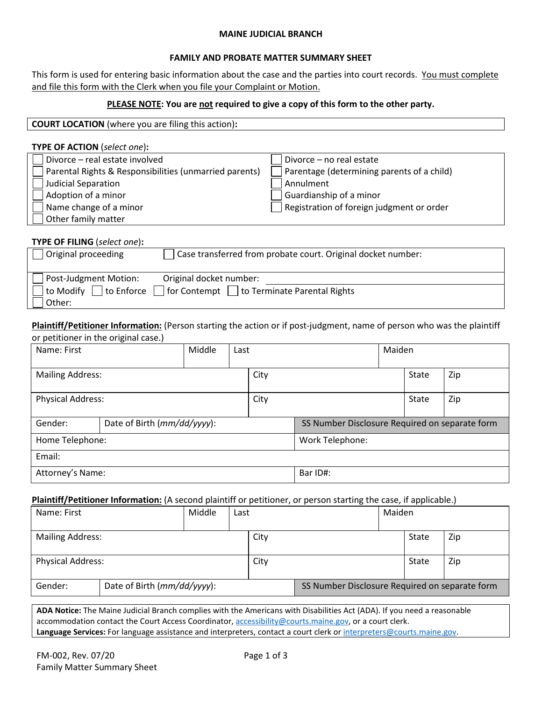## **MAINE JUDICIAL BRANCH**

# **FAMILY AND PROBATE MATTER SUMMARY SHEET**

This form is used for entering basic information about the case and the parties into court records. You must complete and file this form with the Clerk when you file your Complaint or Motion.

# **PLEASE NOTE: You are not required to give a copy of this form to the other party.**

| <b>COURT LOCATION</b> (where you are filing this action): |  |  |  |
|-----------------------------------------------------------|--|--|--|
|-----------------------------------------------------------|--|--|--|

| <b>TYPE OF ACTION</b> (select one):                    |                                            |
|--------------------------------------------------------|--------------------------------------------|
| Divorce - real estate involved                         | Divorce - no real estate                   |
| Parental Rights & Responsibilities (unmarried parents) | Parentage (determining parents of a child) |
| <b>Judicial Separation</b>                             | Annulment                                  |
| Adoption of a minor                                    | Guardianship of a minor                    |
| Name change of a minor                                 | Registration of foreign judgment or order  |
| Other family matter                                    |                                            |

## **TYPE OF FILING** (*select one*)**:**

| Original proceeding    | Case transferred from probate court. Original docket number:    |
|------------------------|-----------------------------------------------------------------|
| Post-Judgment Motion:  | Original docket number:                                         |
| to Modify □ to Enforce | $\vert$ for Contempt $\vert \vert$ to Terminate Parental Rights |
| Other:                 |                                                                 |

**Plaintiff/Petitioner Information:** (Person starting the action or if post-judgment, name of person who was the plaintiff or petitioner in the original case.)

| Name: First                            |  | Middle |  | Maiden<br>Last                                 |  |  |       |     |
|----------------------------------------|--|--------|--|------------------------------------------------|--|--|-------|-----|
| <b>Mailing Address:</b>                |  |        |  | City                                           |  |  | State | Zip |
| <b>Physical Address:</b>               |  |        |  | City                                           |  |  | State | Zip |
| Date of Birth (mm/dd/yyyy):<br>Gender: |  |        |  | SS Number Disclosure Required on separate form |  |  |       |     |
| Home Telephone:                        |  |        |  | Work Telephone:                                |  |  |       |     |
| Email:                                 |  |        |  |                                                |  |  |       |     |
| Attorney's Name:                       |  |        |  | Bar ID#:                                       |  |  |       |     |

### **Plaintiff/Petitioner Information:** (A second plaintiff or petitioner, or person starting the case, if applicable.)

| Name: First              |                             | Middle | Last |      | Maiden                                         |  |       |     |
|--------------------------|-----------------------------|--------|------|------|------------------------------------------------|--|-------|-----|
| <b>Mailing Address:</b>  |                             |        |      | City |                                                |  | State | Zip |
| <b>Physical Address:</b> |                             |        |      | City |                                                |  | State | Zip |
| Gender:                  | Date of Birth (mm/dd/yyyy): |        |      |      | SS Number Disclosure Required on separate form |  |       |     |

**ADA Notice:** The Maine Judicial Branch complies with the Americans with Disabilities Act (ADA). If you need a reasonable accommodation contact the Court Access Coordinator, accessibility@courts.maine.gov, or a court clerk. **Language Services:** For language assistance and interpreters, contact a court clerk or interpreters@courts.maine.gov.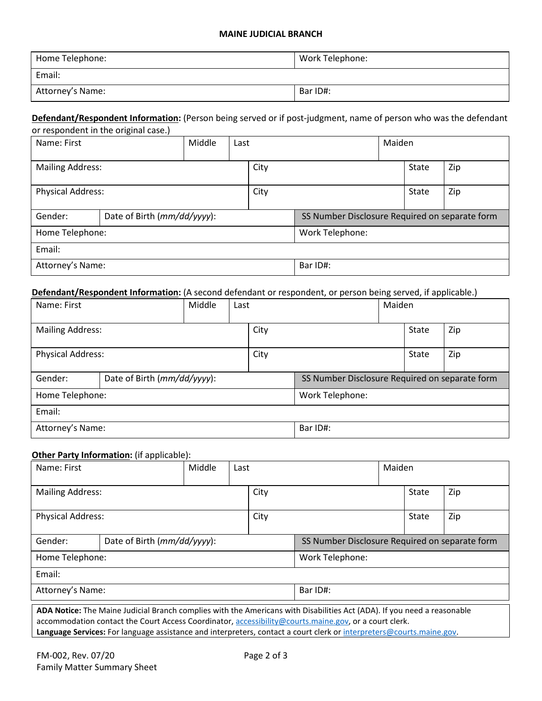## **MAINE JUDICIAL BRANCH**

| Home Telephone:  | Work Telephone: |
|------------------|-----------------|
| Email:           |                 |
| Attorney's Name: | Bar ID#:        |

#### **Defendant/Respondent Information:** (Person being served or if post-judgment, name of person who was the defendant or respondent in the original case.)

|                                        | or respondent in the original case. |        |  |                                                |  |  |       |     |
|----------------------------------------|-------------------------------------|--------|--|------------------------------------------------|--|--|-------|-----|
| Name: First                            |                                     | Middle |  | Maiden<br>Last                                 |  |  |       |     |
| <b>Mailing Address:</b>                |                                     |        |  | City                                           |  |  | State | Zip |
| <b>Physical Address:</b>               |                                     |        |  | City                                           |  |  | State | Zip |
| Date of Birth (mm/dd/yyyy):<br>Gender: |                                     |        |  | SS Number Disclosure Required on separate form |  |  |       |     |
| Home Telephone:                        |                                     |        |  | Work Telephone:                                |  |  |       |     |
| Email:                                 |                                     |        |  |                                                |  |  |       |     |
| Attorney's Name:                       |                                     |        |  | Bar ID#:                                       |  |  |       |     |

# **Defendant/Respondent Information:** (A second defendant or respondent, or person being served, if applicable.)

| Name: First              |                             | Middle | Last            |          |                                                | Maiden |       |     |
|--------------------------|-----------------------------|--------|-----------------|----------|------------------------------------------------|--------|-------|-----|
| <b>Mailing Address:</b>  |                             |        |                 | City     |                                                |        | State | Zip |
| <b>Physical Address:</b> |                             |        |                 | City     |                                                |        | State | Zip |
| Gender:                  | Date of Birth (mm/dd/yyyy): |        |                 |          | SS Number Disclosure Required on separate form |        |       |     |
| Home Telephone:          |                             |        | Work Telephone: |          |                                                |        |       |     |
| Email:                   |                             |        |                 |          |                                                |        |       |     |
| Attorney's Name:         |                             |        |                 | Bar ID#: |                                                |        |       |     |

## **Other Party Information:** (if applicable):

| Name: First                                                                                                                                                                                                                                                                                                                                        |                             | Middle | Last |                                                |  | Maiden |       |     |  |
|----------------------------------------------------------------------------------------------------------------------------------------------------------------------------------------------------------------------------------------------------------------------------------------------------------------------------------------------------|-----------------------------|--------|------|------------------------------------------------|--|--------|-------|-----|--|
| <b>Mailing Address:</b>                                                                                                                                                                                                                                                                                                                            |                             |        |      | City                                           |  |        | State | Zip |  |
| <b>Physical Address:</b>                                                                                                                                                                                                                                                                                                                           |                             |        |      | City                                           |  |        | State | Zip |  |
| Gender:                                                                                                                                                                                                                                                                                                                                            | Date of Birth (mm/dd/yyyy): |        |      | SS Number Disclosure Required on separate form |  |        |       |     |  |
| Home Telephone:                                                                                                                                                                                                                                                                                                                                    |                             |        |      | Work Telephone:                                |  |        |       |     |  |
| Email:                                                                                                                                                                                                                                                                                                                                             |                             |        |      |                                                |  |        |       |     |  |
| Attorney's Name:                                                                                                                                                                                                                                                                                                                                   |                             |        |      | Bar ID#:                                       |  |        |       |     |  |
| ADA Notice: The Maine Judicial Branch complies with the Americans with Disabilities Act (ADA). If you need a reasonable<br>accommodation contact the Court Access Coordinator, accessibility@courts.maine.gov, or a court clerk.<br>그 그 그 그 사람들은 그 사람들은 그 사람들을 사용하는 것이 없다. 그 사람들은 그 사람들은 그 사람들은 그 사람들을 지르며 그 사람들을 지르며 그 사람들을 지르며 그 사람들을 지르며 그 사람들을 |                             |        |      |                                                |  |        |       |     |  |

**Language Services:** For language assistance and interpreters, contact a court clerk o[r interpreters@courts.maine.gov.](mailto:interpreters@courts.maine.gov)